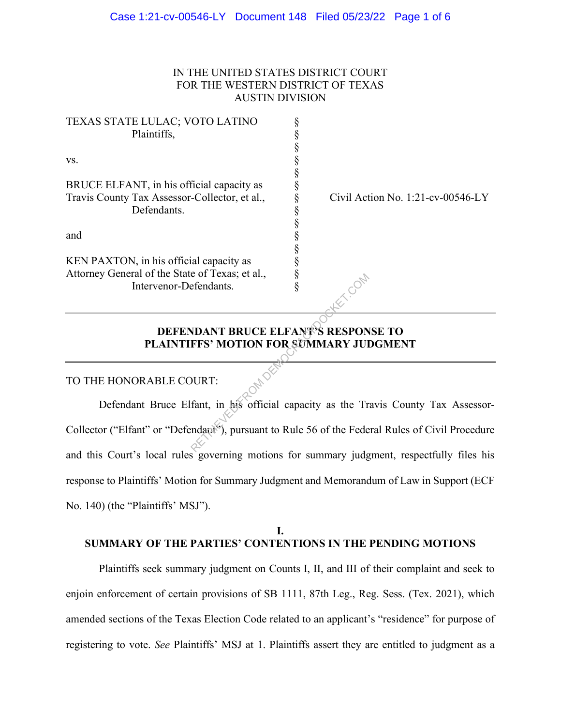# IN THE UNITED STATES DISTRICT COURT FOR THE WESTERN DISTRICT OF TEXAS AUSTIN DIVISION

| TEXAS STATE LULAC; VOTO LATINO                  |                                   |
|-------------------------------------------------|-----------------------------------|
| Plaintiffs,                                     |                                   |
|                                                 |                                   |
| VS.                                             |                                   |
|                                                 |                                   |
| BRUCE ELFANT, in his official capacity as       |                                   |
| Travis County Tax Assessor-Collector, et al.,   | Civil Action No. 1:21-cv-00546-LY |
| Defendants.                                     |                                   |
|                                                 |                                   |
| and                                             |                                   |
|                                                 |                                   |
| KEN PAXTON, in his official capacity as         |                                   |
| Attorney General of the State of Texas; et al., |                                   |
| Intervenor-Defendants.                          |                                   |
|                                                 |                                   |
|                                                 |                                   |

## **DEFENDANT BRUCE ELFANT'S RESPONSE TO PLAINTIFFS' MOTION FOR SUMMARY JUDGMENT**

### TO THE HONORABLE COURT:

Defendant Bruce Elfant, in his official capacity as the Travis County Tax Assessor-Collector ("Elfant" or "Defendant"), pursuant to Rule 56 of the Federal Rules of Civil Procedure and this Court's local rules governing motions for summary judgment, respectfully files his response to Plaintiffs' Motion for Summary Judgment and Memorandum of Law in Support (ECF No. 140) (the "Plaintiffs' MSJ"). RETRIEVED FROM STRANDANT BRUCE ELFANT<sup>95</sup>S RESPONTERS' MOTION FOR SUMMARY JUIT COMMENT DURT:<br>COMMANDANT BRUCE ELFANT<sup>95</sup>S RESPONTERS' MOTION FOR SUMMARY JUIT COMMENT DURT:<br>fant, in his official capacity as the Tradage<sup>rs'</sup>

### **I. SUMMARY OF THE PARTIES' CONTENTIONS IN THE PENDING MOTIONS**

Plaintiffs seek summary judgment on Counts I, II, and III of their complaint and seek to enjoin enforcement of certain provisions of SB 1111, 87th Leg., Reg. Sess. (Tex. 2021), which amended sections of the Texas Election Code related to an applicant's "residence" for purpose of registering to vote. *See* Plaintiffs' MSJ at 1. Plaintiffs assert they are entitled to judgment as a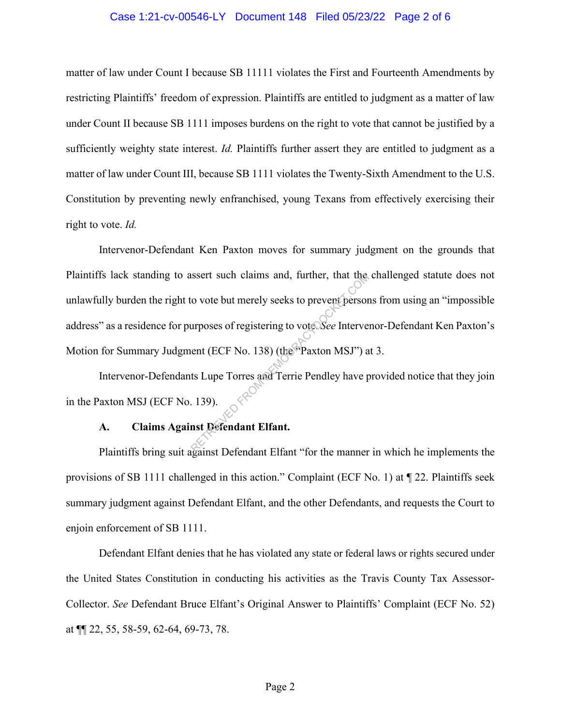#### Case 1:21-cv-00546-LY Document 148 Filed 05/23/22 Page 2 of 6

matter of law under Count I because SB 11111 violates the First and Fourteenth Amendments by restricting Plaintiffs' freedom of expression. Plaintiffs are entitled to judgment as a matter of law under Count II because SB 1111 imposes burdens on the right to vote that cannot be justified by a sufficiently weighty state interest. *Id.* Plaintiffs further assert they are entitled to judgment as a matter of law under Count III, because SB 1111 violates the Twenty-Sixth Amendment to the U.S. Constitution by preventing newly enfranchised, young Texans from effectively exercising their right to vote. *Id.*

Intervenor-Defendant Ken Paxton moves for summary judgment on the grounds that Plaintiffs lack standing to assert such claims and, further, that the challenged statute does not unlawfully burden the right to vote but merely seeks to prevent persons from using an "impossible address" as a residence for purposes of registering to vote. *See* Intervenor-Defendant Ken Paxton's Motion for Summary Judgment (ECF No. 138) (the "Paxton MSJ") at 3. Superior Such claims and, further, that the<br>
co vote but merely seeks to prevent person<br>
urposes of registering to vote See Interve<br>
ent (ECF No. 138) (the Paxton MSJ") a<br>
ts Lupe Torres and Terrie Pendley have p<br>
. 139).<br>

Intervenor-Defendants Lupe Torres and Terrie Pendley have provided notice that they join in the Paxton MSJ (ECF No. 139).

### **A. Claims Against Defendant Elfant.**

Plaintiffs bring suit against Defendant Elfant "for the manner in which he implements the provisions of SB 1111 challenged in this action." Complaint (ECF No. 1) at ¶ 22. Plaintiffs seek summary judgment against Defendant Elfant, and the other Defendants, and requests the Court to enjoin enforcement of SB 1111.

Defendant Elfant denies that he has violated any state or federal laws or rights secured under the United States Constitution in conducting his activities as the Travis County Tax Assessor-Collector. *See* Defendant Bruce Elfant's Original Answer to Plaintiffs' Complaint (ECF No. 52) at ¶¶ 22, 55, 58-59, 62-64, 69-73, 78.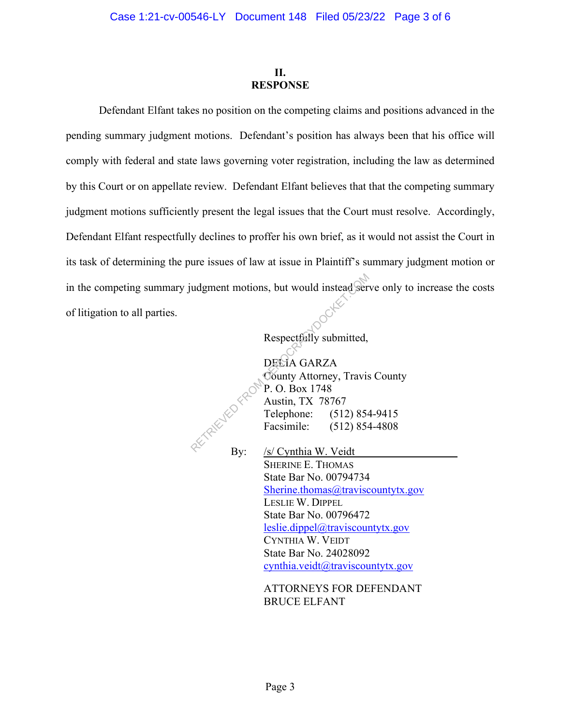# **II. RESPONSE**

Defendant Elfant takes no position on the competing claims and positions advanced in the pending summary judgment motions. Defendant's position has always been that his office will comply with federal and state laws governing voter registration, including the law as determined by this Court or on appellate review. Defendant Elfant believes that that the competing summary judgment motions sufficiently present the legal issues that the Court must resolve. Accordingly, Defendant Elfant respectfully declines to proffer his own brief, as it would not assist the Court in its task of determining the pure issues of law at issue in Plaintiff's summary judgment motion or in the competing summary judgment motions, but would instead serve only to increase the costs of litigation to all parties. Magment motions, but would instead served by the Respectfully submitted,<br>
DECIA GARZA<br>
County Attorney, Travis<br>
P. O. Box 1748<br>
Austin, TX 78767<br>
Telephone: (512) 854<br>
Facsimile: (512) 854<br>
P. C. Cynthia W. Veidt

Respectfully submitted,

DELIA GARZA County Attorney, Travis County P. O. Box 1748 Austin, TX 78767 Telephone: (512) 854-9415 Facsimile: (512) 854-4808

By: /s/ Cynthia W. Veidt SHERINE E. THOMAS State Bar No. 00794734 Sherine.thomas@traviscountytx.gov LESLIE W. DIPPEL State Bar No. 00796472 leslie.dippel@traviscountytx.gov CYNTHIA W. VEIDT State Bar No. 24028092 cynthia.veidt@traviscountytx.gov

> ATTORNEYS FOR DEFENDANT BRUCE ELFANT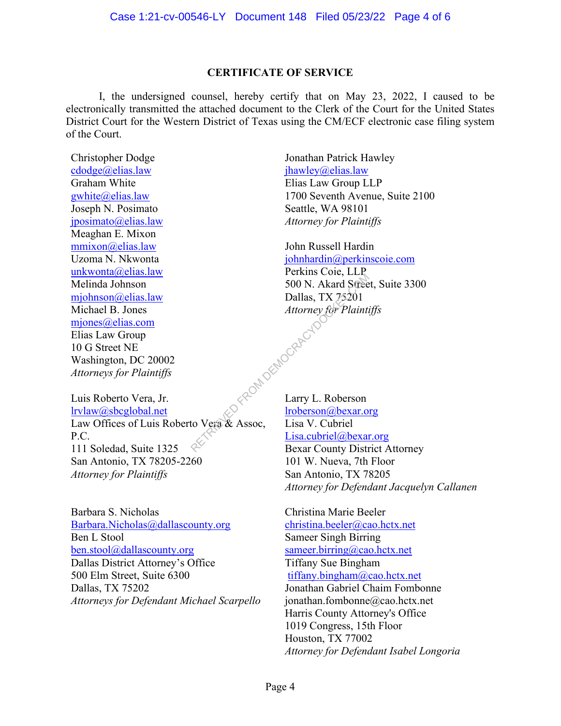# **CERTIFICATE OF SERVICE**

I, the undersigned counsel, hereby certify that on May 23, 2022, I caused to be electronically transmitted the attached document to the Clerk of the Court for the United States District Court for the Western District of Texas using the CM/ECF electronic case filing system of the Court.

Christopher Dodge cdodge@elias.law Graham White gwhite@elias.law Joseph N. Posimato jposimato@elias.law Meaghan E. Mixon mmixon@elias.law Uzoma N. Nkwonta unkwonta@elias.law Melinda Johnson mjohnson@elias.law Michael B. Jones mjones@elias.com Elias Law Group 10 G Street NE Washington, DC 20002 *Attorneys for Plaintiffs*

Luis Roberto Vera, Jr. lrvlaw@sbcglobal.net Law Offices of Luis Roberto Vera & Assoc, P.C. 111 Soledad, Suite 1325 San Antonio, TX 78205-2260 *Attorney for Plaintiffs*

Barbara S. Nicholas Barbara.Nicholas@dallascounty.org Ben L Stool ben.stool@dallascounty.org Dallas District Attorney's Office 500 Elm Street, Suite 6300 Dallas, TX 75202 *Attorneys for Defendant Michael Scarpello*

Jonathan Patrick Hawley jhawley@elias.law Elias Law Group LLP 1700 Seventh Avenue, Suite 2100 Seattle, WA 98101 *Attorney for Plaintiffs*

John Russell Hardin johnhardin@perkinscoie.com Perkins Coie, LLP 500 N. Akard Street, Suite 3300 Dallas, TX 75201 *Attorney for Plaintiffs*

Larry L. Roberson lroberson@bexar.org Lisa V. Cubriel Lisa.cubriel@bexar.org Bexar County District Attorney 101 W. Nueva, 7th Floor San Antonio, TX 78205 *Attorney for Defendant Jacquelyn Callanen*  REDM DEMOCRAECYDO

> Christina Marie Beeler christina.beeler@cao.hctx.net Sameer Singh Birring sameer.birring@cao.hctx.net Tiffany Sue Bingham tiffany.bingham@cao.hctx.net Jonathan Gabriel Chaim Fombonne jonathan.fombonne@cao.hctx.net Harris County Attorney's Office 1019 Congress, 15th Floor Houston, TX 77002 *Attorney for Defendant Isabel Longoria*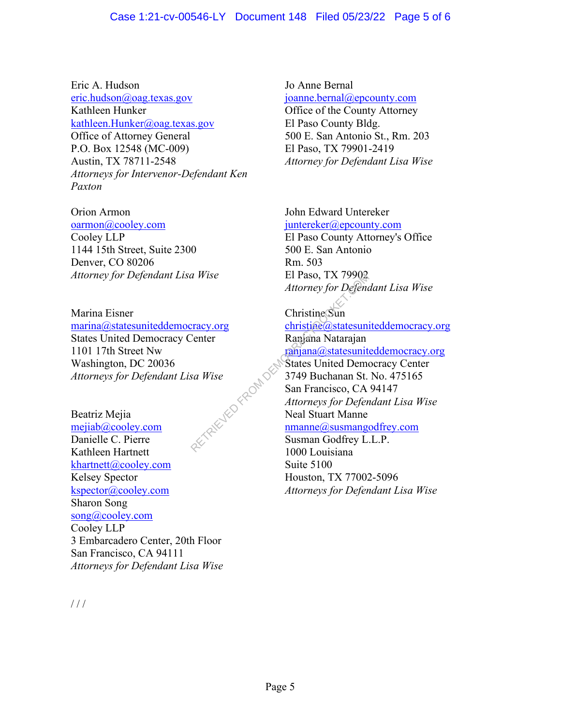Eric A. Hudson eric.hudson@oag.texas.gov Kathleen Hunker kathleen.Hunker@oag.texas.gov Office of Attorney General P.O. Box 12548 (MC-009) Austin, TX 78711-2548 *Attorneys for Intervenor-Defendant Ken Paxton* 

Orion Armon oarmon@cooley.com Cooley LLP 1144 15th Street, Suite 2300 Denver, CO 80206 *Attorney for Defendant Lisa Wise* 

Marina Eisner marina@statesuniteddemocracy.org States United Democracy Center 1101 17th Street Nw Washington, DC 20036 *Attorneys for Defendant Lisa Wise*

Beatriz Mejia mejiab@cooley.com Danielle C. Pierre Kathleen Hartnett khartnett@cooley.com Kelsey Spector kspector@cooley.com Sharon Song song@cooley.com Cooley LLP 3 Embarcadero Center, 20th Floor San Francisco, CA 94111 *Attorneys for Defendant Lisa Wise*  TRIEVED FROM DES

Jo Anne Bernal joanne.bernal@epcounty.com Office of the County Attorney El Paso County Bldg. 500 E. San Antonio St., Rm. 203 El Paso, TX 79901-2419 *Attorney for Defendant Lisa Wise* 

John Edward Untereker juntereker@epcounty.com El Paso County Attorney's Office 500 E. San Antonio Rm. 503 El Paso, TX 79902 *Attorney for Defendant Lisa Wise* 

Christine Sun christine@statesuniteddemocracy.org Ranjana Natarajan ranjana@statesuniteddemocracy.org States United Democracy Center 3749 Buchanan St. No. 475165 San Francisco, CA 94147 *Attorneys for Defendant Lisa Wise* Neal Stuart Manne nmanne@susmangodfrey.com Susman Godfrey L.L.P.

1000 Louisiana Suite 5100 Houston, TX 77002-5096 *Attorneys for Defendant Lisa Wise*

/ / /